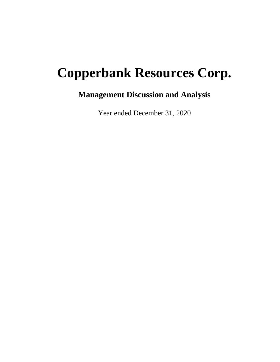# **Copperbank Resources Corp.**

## **Management Discussion and Analysis**

Year ended December 31, 2020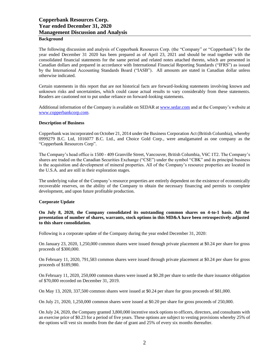#### **Background**

The following discussion and analysis of Copperbank Resources Corp. (the "Company" or "Copperbank") for the year ended December 31 2020 has been prepared as of April 23, 2021 and should be read together with the consolidated financial statements for the same period and related notes attached thereto, which are presented in Canadian dollars and prepared in accordance with International Financial Reporting Standards ("IFRS") as issued by the International Accounting Standards Board ("IASB"). All amounts are stated in Canadian dollar unless otherwise indicated.

Certain statements in this report that are not historical facts are forward-looking statements involving known and unknown risks and uncertainties, which could cause actual results to vary considerably from these statements. Readers are cautioned not to put undue reliance on forward-looking statements.

Additional information of the Company is available on SEDAR at [www.sedar.com](http://www.sedar.com/) and at the Company's website at [www.copperbankcorp.com.](http://www.copperbankcorp.com/)

#### **Description of Business**

Copperbank was incorporated on October 21, 2014 under the Business Corporation Act (British Columbia), whereby 0999279 B.C. Ltd, 1016077 B.C. Ltd., and Choice Gold Corp., were amalgamated as one company as the "Copperbank Resources Corp".

The Company's head office is 1500 - 409 Granville Street, Vancouver, British Columbia, V6C 1T2. The Company's shares are traded on the Canadian Securities Exchange ("CSE") under the symbol "CBK" and its principal business is the acquisition and development of mineral properties. All of the Company's resource properties are located in the U.S.A. and are still in their exploration stages.

The underlying value of the Company's resource properties are entirely dependent on the existence of economically recoverable reserves, on the ability of the Company to obtain the necessary financing and permits to complete development, and upon future profitable production.

#### **Corporate Update**

**On July 8, 2020, the Company consolidated its outstanding common shares on 4-to-1 basis. All the presentation of number of shares, warrants, stock options in this MD&A have been retrospectively adjusted to this share consolidation.** 

Following is a corporate update of the Company during the year ended December 31, 2020:

On January 23, 2020, 1,250,000 common shares were issued through private placement at \$0.24 per share for gross proceeds of \$300,000.

On February 11, 2020, 791,583 common shares were issued through private placement at \$0.24 per share for gross proceeds of \$189,980.

On February 11, 2020, 250,000 common shares were issued at \$0.28 per share to settle the share issuance obligation of \$70,000 recorded on December 31, 2019.

On May 13, 2020, 337,500 common shares were issued at \$0.24 per share for gross proceeds of \$81,000.

On July 21, 2020, 1,250,000 common shares were issued at \$0.20 per share for gross proceeds of 250,000.

On July 24, 2020, the Company granted 3,800,000 incentive stock options to officers, directors, and consultants with an exercise price of \$0.23 for a period of five years. These options are subject to vesting provisions whereby 25% of the options will vest six months from the date of grant and 25% of every six months thereafter.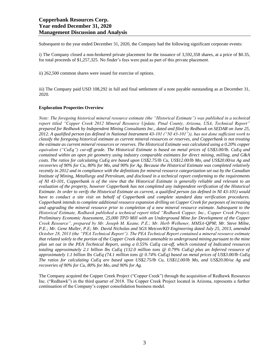Subsequent to the year ended December 31, 2020, the Company had the following significant corporate events:

i) The Company closed a non-brokered private placement for the issuance of 3,592,358 shares, at a price of \$0.35, for total proceeds of \$1,257,325. No finder's fees were paid as part of this private placement.

ii) 262,500 common shares were issued for exercise of options.

iii) The Company paid USD 108,292 in full and final settlement of a note payable outstanding as at December 31, 2020.

#### **Exploration Properties Overview**

*Note: The foregoing historical mineral resource estimate (the "Historical Estimate") was published in a technical report titled "Copper Creek 2012 Mineral Resource Update, Pinal County, Arizona, USA, Technical Report" prepared for Redhawk by Independent Mining Consultants Inc., dated and filed by Redhawk on SEDAR on June 25, 2012. A qualified person (as defined in National Instrument 43-101 ("NI 43-101")), has not done sufficient work to classify the foregoing historical estimate as current mineral resources or reserves, and Copperbank is not treating the estimate as current mineral resources or reserves. The Historical Estimate was calculated using a 0.20% copper equivalent ("CuEq") cut-off grade. The Historical Estimate is based on metal prices of US\$3.00/lb. CuEq and contained within an open pit geometry using industry comparable estimates for direct mining, milling, and G&A costs. The ratios for calculating CuEq are based upon US\$2.75/lb Cu, US\$12.00/lb Mo, and US\$20.00/oz Ag and recoveries of 90% for Cu, 80% for Mo, and 90% for Ag. Because the Historical Estimate was completed relatively recently in 2012 and in compliance with the definitions for mineral resource categorization set out by the Canadian Institute of Mining, Metallurgy and Petroleum, and disclosed in a technical report conforming to the requirements of NI 43-101, Copperbank is of the view that the Historical Estimate is generally reliable and relevant to an evaluation of the property, however Copperbank has not completed any independent verification of the Historical Estimate. In order to verify the Historical Estimate as current, a qualified person (as defined in NI 43-101) would have to conduct a site visit on behalf of Copperbank and complete standard data verification procedures. Copperbank intends to complete additional resource expansion drilling on Copper Creek for purposes of increasing and upgrading the mineral resource prior to completion of a new mineral resource estimate. Subsequent to the Historical Estimate, Redhawk published a technical report titled "Redhawk Copper, Inc., Copper Creek Project, Preliminary Economic Assessment, 25,000 TPD Mill with an Underground Mine for Development of the Copper Creek Resource", prepared by Mr. Joseph M. Keane, P.E.; Mr. Herb Welhener, MMSA-QPM; Mr. Steve Milne, P.E.; Mr. Gene Muller, P.E; Mr. David Nicholas and SGS Metcon/KD Engineering dated July 25, 2013, amended October 28, 2013 (the "PEA Technical Report"). The PEA Technical Report contained a mineral resource estimate that related solely to the portion of the Copper Creek deposit amenable to underground mining pursuant to the mine plan set out in the PEA Technical Report, using a 0.55% CuEq cut-off, which consisted of Indicated resources totaling approximately 2.1 billion lbs CuEq (132.0 million tons @ 0.79% CuEq) plus an Inferred resource of approximately 1.1 billion lbs CuEq (74.1 million tons @ 0.74% CuEq) based on metal prices of US\$3.00/lb CuEq The ratios for calculating CuEq are based upon US\$2.75/lb Cu, US\$12.00/lb Mo, and US\$20.00/oz Ag and recoveries of 90% for Cu, 80% for Mo, and 90% for Ag.*

The Company acquired the Copper Creek Project ("Copper Creek") through the acquisition of Redhawk Resources Inc. ("Redhawk") in the third quarter of 2018. The Copper Creek Project located in Arizona, represents a further continuation of the Company's copper consolidation business model.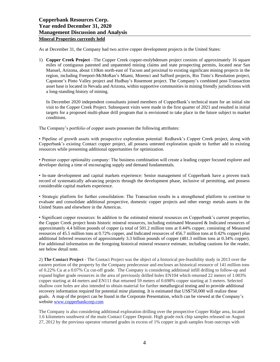As at December 31, the Company had two active copper development projects in the United States:

1) **Copper Creek Project** –The Copper Creek copper-molybdenum project consists of approximately 16 square miles of contiguous patented and unpatented mining claims and state prospecting permits, located near San Manuel, Arizona, about 110km north-east of Tucson and proximal to existing significant mining projects in the region, including Freeport-McMoRan's Miami, Morenci and Safford projects, Rio Tinto 's Resolution project, Capstone's Pinto Valley project and Hudbay's Rosemont project. The Company's combined post-Transaction asset base is located in Nevada and Arizona, within supportive communities in mining friendly jurisdictions with a long-standing history of mining.

In December 2020 independent consultants joined members of CopperBank's technical team for an initial site visit to the Copper Creek Project. Subsequent visits were made in the first quarter of 2021 and resulted in initial targets for a proposed multi-phase drill program that is envisioned to take place in the future subject to market conditions.

The Company's portfolio of copper assets possesses the following attributes:

• Pipeline of growth assets with prospective exploration potential: Redhawk's Copper Creek project, along with Copperbank's existing Contact copper project, all possess untested exploration upside to further add to existing resources while presenting additional opportunities for optimization.

• Premier copper optionality company: The business combination will create a leading copper focused explorer and developer during a time of encouraging supply and demand fundamentals.

• In-state development and capital markets experience: Senior management of Copperbank have a proven track record of systematically advancing projects through the development phase, inclusive of permitting, and possess considerable capital markets experience.

• Strategic platform for further consolidation: The Transaction results in a strengthened platform to continue to evaluate and consolidate additional prospective, domestic copper projects and other energy metals assets in the United States and elsewhere in the Americas.

• Significant copper resources: In addition to the estimated mineral resources on Copperbank's current properties, the Copper Creek project hosts historic mineral resources, including estimated Measured & Indicated resources of approximately 4.4 billion pounds of copper (a total of 501.2 million tons at 0.44% copper, consisting of Measured resources of 45.5 million tons at 0.72% copper, and Indicated resources of 456.7 million tons at 0.42% copper) plus additional Inferred resources of approximately 3.3 billion pounds of copper (481.3 million tons at 0.34% copper). For additional information on the foregoing historical mineral resource estimate, including cautions for the reader, see below detail note.

2) **The Contact Project** - The Contact Project was the object of a historical pre-feasibility study in 2013 over the eastern portion of the property by the Company predecessor and encloses an historical resource of 141 million tons of 0.22% Cu at a 0.07% Cu cut-off grade. The Company is considering additional infill drilling to follow-up and expand higher grade resources in the area of previously drilled holes EN104 which returned 22 meters of 1.003% copper starting at 44 meters and EN111 that returned 59 meters of 0.698% copper starting at 3 meters. Selected shallow core holes are also intended to obtain material for further metallurgical testing and to provide additional recovery information required for potential mine planning. It is estimated that US\$750,000 will realize these goals. A map of the project can be found in the Corporate Presentation, which can be viewed at the Company's website [www.copperbankcorp.com](http://www.copperbankcorp.com/)

The Company is also considering additional exploration drilling over the prospective Copper Ridge area, located 1.6 kilometers southwest of the main Contact Copper Deposit. High grade rock chip samples released on August 27, 2012 by the previous operator returned grades in excess of 1% copper in grab samples from outcrops with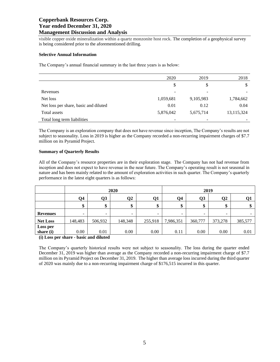visible copper oxide mineralization within a quartz monzonite host rock. The completion of a geophysical survey is being considered prior to the aforementioned drilling.

#### **Selective Annual Information**

The Company's annual financial summary in the last three years is as below:

|                                       | 2020      | 2019      | 2018       |
|---------------------------------------|-----------|-----------|------------|
|                                       | \$        | \$        | \$         |
| Revenues                              |           | ٠         |            |
| Net loss                              | 1,059,681 | 9,105,983 | 1,784,662  |
| Net loss per share, basic and diluted | 0.01      | 0.12      | 0.04       |
| Total assets                          | 5,876,042 | 5,675,714 | 13,115,324 |
| Total long term liabilities           |           | -         |            |

The Company is an exploration company that does not have revenue since inception, The Company's results are not subject to seasonality. Loss in 2019 is higher as the Company recorded a non-recurring impairment charges of \$7.7 million on its Pyramid Project.

#### **Summary of Quarterly Results**

All of the Company's resource properties are in their exploration stage. The Company has not had revenue from inception and does not expect to have revenue in the near future. The Company's operating result is not seasonal in nature and has been mainly related to the amount of exploration activities in such quarter. The Company's quarterly performance in the latest eight quarters is as follows:

| <b>Q4</b><br>Q3<br>Q <sub>2</sub><br>Q3<br>$\mathbf{O}2$<br><b>Q1</b><br>Q <sub>4</sub><br>\$<br>\$<br>\$<br>\$<br>\$<br>¢<br>\$<br>D<br><b>Revenues</b><br>$\overline{\phantom{0}}$<br>$\overline{\phantom{0}}$<br>$\sim$<br>$\overline{\phantom{0}}$<br>-<br>-<br>$\overline{\phantom{0}}$<br>-<br>373,278<br>385,577<br>148,483<br>506,932<br>255,918<br>7,986,351<br><b>Net Loss</b><br>148,348<br>360,777<br>Loss per |           | 2020 |      |      | 2019 |      |      |      |      |
|----------------------------------------------------------------------------------------------------------------------------------------------------------------------------------------------------------------------------------------------------------------------------------------------------------------------------------------------------------------------------------------------------------------------------|-----------|------|------|------|------|------|------|------|------|
|                                                                                                                                                                                                                                                                                                                                                                                                                            |           |      |      |      |      |      |      |      |      |
|                                                                                                                                                                                                                                                                                                                                                                                                                            |           |      |      |      |      |      |      |      |      |
|                                                                                                                                                                                                                                                                                                                                                                                                                            |           |      |      |      |      |      |      |      |      |
|                                                                                                                                                                                                                                                                                                                                                                                                                            |           |      |      |      |      |      |      |      |      |
|                                                                                                                                                                                                                                                                                                                                                                                                                            |           |      |      |      |      |      |      |      |      |
|                                                                                                                                                                                                                                                                                                                                                                                                                            | share (i) | 0.00 | 0.01 | 0.00 | 0.00 | 0.11 | 0.00 | 0.00 | 0.01 |

**(i) Loss per share - basic and diluted**

The Company's quarterly historical results were not subject to seasonality. The loss during the quarter ended December 31, 2019 was higher than average as the Company recorded a non-recurring impairment charge of \$7.7 million on its Pyramid Project on December 31, 2019. The higher than average loss incurred during the third quarter of 2020 was mainly due to a non-recurring impairment charge of \$176,515 incurred in this quarter.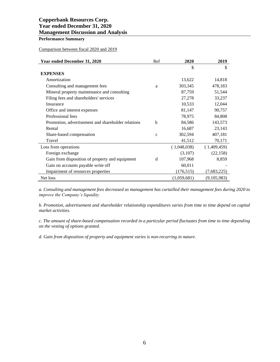## **Performance Summary**

### Comparison between fiscal 2020 and 2019

| Year ended December 31, 2020                       | Ref          | 2020        | 2019        |
|----------------------------------------------------|--------------|-------------|-------------|
|                                                    |              | \$          | \$          |
| <b>EXPENSES</b>                                    |              |             |             |
| Amortization                                       |              | 13,622      | 14,818      |
| Consulting and management fees                     | a            | 303,345     | 478,183     |
| Mineral property maintenance and consulting        |              | 87,759      | 51,544      |
| Filing fees and shareholders' services             |              | 27,278      | 33,237      |
| Insurance                                          |              | 10,533      | 12,044      |
| Office and interest expenses                       |              | 81,147      | 90,757      |
| Professional fees                                  |              | 78,975      | 84,808      |
| Promotion, advertisement and shareholder relations | b            | 84,586      | 143,573     |
| Rental                                             |              | 16,687      | 23,143      |
| Share-based compensation                           | $\mathbf{C}$ | 302,594     | 407,181     |
| Travel                                             |              | 41,512      | 70,171      |
| Loss from operations                               |              | (1,048,038) | (1,409,459) |
| Foreign exchange                                   |              | (3,107)     | (22, 158)   |
| Gain from disposition of property and equipment    | d            | 107,968     | 8,859       |
| Gain on accounts payable write off                 |              | 60,011      |             |
| Impairment of resources properties                 |              | (176, 515)  | (7,683,225) |
| Net loss                                           |              | (1,059,681) | (9,105,983) |

*a. Consulting and management fees decreased as management has curtailled their management fees during 2020 to improve the Company's liquidity.* 

*b. Promotion, advertisement and shareholder relationship expenditures varies from time to time depend on capital market activities.* 

*c. The amount of share-based compensation recorded in a particular period fluctuates from time to time depending on the vesting of options granted.* 

*d. Gain from disposition of property and equipment varies is non-recurring in nature.*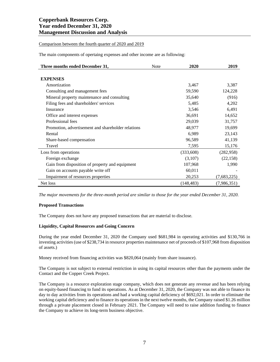Comparison between the fourth quarter of 2020 and 2019

The main components of opertaing expenses and other income are as following:

| Three months ended December 31,                    | <b>Note</b> | 2020       | 2019        |
|----------------------------------------------------|-------------|------------|-------------|
|                                                    |             |            |             |
| <b>EXPENSES</b>                                    |             |            |             |
| Amortization                                       |             | 3,467      | 3,387       |
| Consulting and management fees                     |             | 59,590     | 124,228     |
| Mineral property maintenance and consulting        |             | 35,640     | (916)       |
| Filing fees and shareholders' services             |             | 5,485      | 4,202       |
| Insurance                                          |             | 3,546      | 6,491       |
| Office and interest expenses                       |             | 36,691     | 14,652      |
| Professional fees                                  |             | 29,039     | 31,757      |
| Promotion, advertisement and shareholder relations |             | 48,977     | 19,699      |
| Rental                                             |             | 6,989      | 23,143      |
| Share-based compensation                           |             | 96,589     | 41,139      |
| Travel                                             |             | 7,595      | 15,176      |
| Loss from operations                               |             | (333,608)  | (282, 958)  |
| Foreign exchange                                   |             | (3,107)    | (22, 158)   |
| Gain from disposition of property and equipment    |             | 107,968    | 1,990       |
| Gain on accounts payable write off                 |             | 60,011     |             |
| Impairment of resources properties                 |             | 20,253     | (7,683,225) |
| Net loss                                           |             | (148, 483) | (7,986,351) |

*The major movements for the three-month period are similar to those for the year ended December 31, 2020.*

#### **Proposed Transactions**

The Company does not have any proposed transactions that are material to disclose.

#### **Liquidity, Capital Resources and Going Concern**

During the year ended December 31, 2020 the Company used \$681,984 in operating activities and \$130,766 in investing activities(use of \$238,734 in resource properties maintenance net of proceeds of \$107,968 from disposition of assets.)

Money received from financing activities was \$820,064 (mainly from share issuance).

The Company is not subject to external restriction in using its capital resources other than the payments under the Contact and the Copper Creek Project.

The Company is a resource exploration stage company, which does not generate any revenue and has been relying on equity-based financing to fund its operations. As at December 31, 2020, the Company was not able to finance its day to day activities from its operations and had a working capital deficiency of \$692,021. In order to eliminate the working capital deficiency and to finance its operations in the next twelve months, the Company raised \$1.26 million through a private placement closed in February 2021. The Company will need to raise addition funding to finance the Company to achieve its long-term business objective.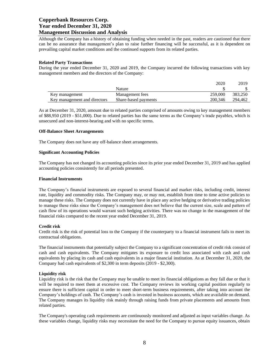Although the Company has a history of obtaining funding when needed in the past, readers are cautioned that there can be no assurance that management's plan to raise further financing will be successful, as it is dependent on prevailing capital market conditions and the continued supports from its related parties.

#### **Related Party Transactions**

During the year ended December 31, 2020 and 2019, the Company incurred the following transactions with key management members and the directors of the Company:

|                              |                      | 2020    | 2019    |
|------------------------------|----------------------|---------|---------|
|                              | Nature               |         |         |
| Key management               | Management fees      | 259,000 | 383.250 |
| Key management and directors | Share-based payments | 200.346 | 294,462 |

As at December 31, 2020, amount due to related parties comprised of amounts owing to key management members of \$88,950 (2019 - \$51,000). Due to related parties has the same terms as the Company's trade payables, which is unsecured and non-interest-bearing and with no specific terms.

#### **Off-Balance Sheet Arrangements**

The Company does not have any off-balance sheet arrangements.

#### **Significant Accounting Policies**

The Company has not changed its accounting policies since its prior year ended December 31, 2019 and has applied accounting policies consistently for all periods presented.

#### **Financial Instruments**

The Company's financial instruments are exposed to several financial and market risks, including credit, interest rate, liquidity and commodity risks. The Company may, or may not, establish from time to time active policies to manage these risks. The Company does not currently have in place any active hedging or derivative trading policies to manage these risks since the Company's management does not believe that the current size, scale and pattern of cash flow of its operations would warrant such hedging activities. There was no change in the management of the financial risks compared to the recent year ended December 31, 2019.

#### **Credit risk**

Credit risk is the risk of potential loss to the Company if the counterparty to a financial instrument fails to meet its contractual obligations.

The financial instruments that potentially subject the Company to a significant concentration of credit risk consist of cash and cash equivalents. The Company mitigates its exposure to credit loss associated with cash and cash equivalents by placing its cash and cash equivalents in a major financial institution. As at December 31, 2020, the Company had cash equivalents of \$2,300 in term deposits (2019 - \$2,300).

#### **Liquidity risk**

Liquidity risk is the risk that the Company may be unable to meet its financial obligations as they fall due or that it will be required to meet them at excessive cost. The Company reviews its working capital position regularly to ensure there is sufficient capital in order to meet short-term business requirements, after taking into account the Company's holdings of cash. The Company's cash is invested in business accounts, which are available on demand. The Company manages its liquidity risk mainly through raising funds from private placements and amounts from related parties.

The Company's operating cash requirements are continuously monitored and adjusted as input variables change. As these variables change, liquidity risks may necessitate the need for the Company to pursue equity issuances, obtain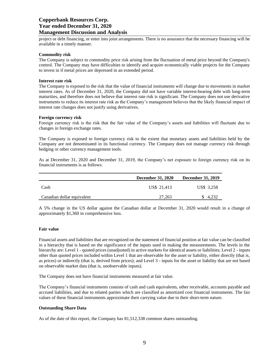project or debt financing, or enter into joint arrangements. There is no assurance that the necessary financing will be available in a timely manner.

#### **Commodity risk**

The Company is subject to commodity price risk arising from the fluctuation of metal price beyond the Company's control. The Company may have difficulties to identify and acquire economically viable projects for the Company to invest in if metal prices are depressed in an extended period.

#### **Interest rate risk**

The Company is exposed to the risk that the value of financial instruments will change due to movements in market interest rates. As of December 31, 2020, the Company did not have variable interest-bearing debt with long-term maturities, and therefore does not believe that interest rate risk is significant. The Company does not use derivative instruments to reduce its interest rate risk as the Company's management believes that the likely financial impact of interest rate changes does not justify using derivatives.

#### **Foreign currency risk**

Foreign currency risk is the risk that the fair value of the Company's assets and liabilities will fluctuate due to changes in foreign exchange rates.

The Company is exposed to foreign currency risk to the extent that monetary assets and liabilities held by the Company are not denominated in its functional currency. The Company does not manage currency risk through hedging or other currency management tools.

As at December 31, 2020 and December 31, 2019, the Company's net exposure to foreign currency risk on its financial instruments is as follows:

|                            | <b>December 31, 2020</b> | <b>December 31, 2019</b> |
|----------------------------|--------------------------|--------------------------|
| Cash                       | US\$ 21.413              | US\$ 3.258               |
| Canadian dollar equivalent | 27.263                   | \$ 4,232                 |

A 5% change in the US dollar against the Canadian dollar at December 31, 2020 would result in a change of approximately \$1,360 in comprehensive loss.

#### **Fair value**

Financial assets and liabilities that are recognized on the statement of financial position at fair value can be classified in a hierarchy that is based on the significance of the inputs used in making the measurements. The levels in the hierarchy are: Level 1 - quoted prices (unadjusted) in active markets for identical assets or liabilities; Level 2 - inputs other than quoted prices included within Level 1 that are observable for the asset or liability, either directly (that is, as prices) or indirectly (that is, derived from prices); and Level 3 - inputs for the asset or liability that are not based on observable market data (that is, unobservable inputs).

The Company does not have financial instruments measured at fair value.

The Company's financial instruments consists of cash and cash equivalents, other receivable, accounts payable and accrued liabilities, and due to related parties which are classified as amortized cost financial instruments. The fair values of these financial instruments approximate their carrying value due to their short-term nature.

#### **Outstanding Share Data**

As of the date of this report, the Company has 81,512,338 common shares outstanding.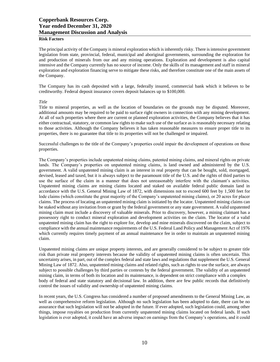#### **Risk Factors**

The principal activity of the Company is mineral exploration which is inherently risky. There is intensive government legislation from state, provincial, federal, municipal and aboriginal governments, surrounding the exploration for and production of minerals from our and any mining operations. Exploration and development is also capital intensive and the Company currently has no source of income. Only the skills of its management and staff in mineral exploration and exploration financing serve to mitigate these risks, and therefore constitute one of the main assets of the Company.

The Company has its cash deposited with a large, federally insured, commercial bank which it believes to be creditworthy. Federal deposit insurance covers deposit balances up to \$100,000.

#### *Title*

Title to mineral properties, as well as the location of boundaries on the grounds may be disputed. Moreover, additional amounts may be required to be paid to surface right owners in connection with any mining development. At all of such properties where there are current or planned exploration activities, the Company believes that it has either contractual, statutory, or common law rights to make such use of the surface as is reasonably necessary relating to those activities. Although the Company believes it has taken reasonable measures to ensure proper title to its properties, there is no guarantee that title to its properties will not be challenged or impaired.

Successful challenges to the title of the Company's properties could impair the development of operations on those properties.

The Company's properties include unpatented mining claims, patented mining claims, and mineral rights on private lands. The Company's properties on unpatented mining claims, is land owned and administered by the U.S. government. A valid unpatented mining claim is an interest in real property that can be bought, sold, mortgaged, devised, leased and taxed, but it is always subject to the paramount title of the U.S. and the rights of third parties to use the surface of the claim in a manner that does not unreasonably interfere with the claimant's activities. Unpatented mining claims are mining claims located and staked on available federal public domain land in accordance with the U.S. General Mining Law of 1872, with dimensions not to exceed 600 feet by 1,500 feet for lode claims (which constitute the great majority of the Company's unpatented mining claims), or 20 acres for placer claims. The process of locating an unpatented mining claim is initiated by the locator. Unpatented mining claims can be staked without any invitation from or grant by the federal government or any state government. A valid unpatented mining claim must include a discovery of valuable minerals. Prior to discovery, however, a mining claimant has a possessory right to conduct mineral exploration and development activities on the claim. The locator of a valid unpatented mining claim has the right to explore for, develop and mine minerals discovered on the claim, subject to compliance with the annual maintenance requirements of the U.S. Federal Land Policy and Management Act of 1976 which currently requires timely payment of an annual maintenance fee in order to maintain an unpatented mining claim.

Unpatented mining claims are unique property interests, and are generally considered to be subject to greater title risk than private real property interests because the validity of unpatented mining claims is often uncertain. This uncertainty arises, in part, out of the complex federal and state laws and regulations that supplement the U.S. General Mining Law of 1872. Also, unpatented mining claims and related rights, such as rights to use the surface, are always subject to possible challenges by third parties or contests by the federal government. The validity of an unpatented mining claim, in terms of both its location and its maintenance, is dependent on strict compliance with a complex body of federal and state statutory and decisional law. In addition, there are few public records that definitively control the issues of validity and ownership of unpatented mining claims.

In recent years, the U.S. Congress has considered a number of proposed amendments to the General Mining Law, as well as comprehensive reform legislation. Although no such legislation has been adopted to date, there can be no assurance that such legislation will not be adopted in the future. If ever adopted, such legislation could, among other things, impose royalties on production from currently unpatented mining claims located on federal lands. If such legislation is ever adopted, it could have an adverse impact on earnings from the Company's operations, and it could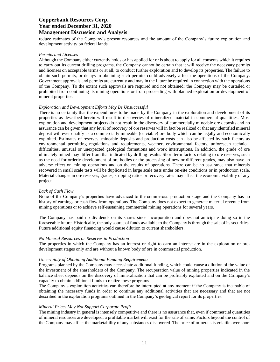reduce estimates of the Company's present resources and the amount of the Company's future exploration and development activity on federal lands.

#### *Permits and Licenses*

Although the Company either currently holds or has applied for or is about to apply for all consents which it requires to carry out its current drilling programs, the Company cannot be certain that it will receive the necessary permits and licenses on acceptable terms or at all, to conduct further exploration and to develop its properties. The failure to obtain such permits, or delays in obtaining such permits could adversely affect the operations of the Company. Government approvals and permits are currently and may in the future be required in connection with the operations of the Company. To the extent such approvals are required and not obtained; the Company may be curtailed or prohibited from continuing its mining operations or from proceeding with planned exploration or development of mineral properties.

#### *Exploration and Development Efforts May Be Unsuccessful*

There is no certainty that the expenditures to be made by the Company in the exploration and development of its properties as described herein will result in discoveries of mineralized material in commercial quantities. Most exploration and development projects do not result in the discovery of commercially mineable ore deposits and no assurance can be given that any level of recovery of ore reserves will in fact be realized or that any identified mineral deposit will ever qualify as a commercially mineable (or viable) ore body which can be legally and economically exploited. Estimates of reserves, mineable deposits and production costs can also be affected by such factors as environmental permitting regulations and requirements, weather, environmental factors, unforeseen technical difficulties, unusual or unexpected geological formations and work interruptions. In addition, the grade of ore ultimately mined may differ from that indicated by drilling results. Short term factors relating to ore reserves, such as the need for orderly development of ore bodies or the processing of new or different grades, may also have an adverse effect on mining operations and on the results of operations. There can be no assurance that minerals recovered in small scale tests will be duplicated in large scale tests under on-site conditions or in production scale. Material changes in ore reserves, grades, stripping ratios or recovery rates may affect the economic viability of any project.

#### *Lack of Cash Flow*

None of the Company's properties have advanced to the commercial production stage and the Company has no history of earnings or cash flow from operations. The Company does not expect to generate material revenue from mining operations or to achieve self-sustaining commercial mining operations for several years.

The Company has paid no dividends on its shares since incorporation and does not anticipate doing so in the foreseeable future. Historically, the only source of funds available to the Company is through the sale of its securities. Future additional equity financing would cause dilution to current shareholders.

#### *No Mineral Resources or Reserves in Production*

The properties in which the Company has an interest or right to earn an interest are in the exploration or predevelopment stages only and are without a known body of ore in commercial production.

#### *Uncertainty of Obtaining Additional Funding Requirements*

Programs planned by the Company may necessitate additional funding, which could cause a dilution of the value of the investment of the shareholders of the Company. The recuperation value of mining properties indicated in the balance sheet depends on the discovery of mineralization that can be profitably exploited and on the Company's capacity to obtain additional funds to realize these programs.

The Company's exploration activities can therefore be interrupted at any moment if the Company is incapable of obtaining the necessary funds in order to continue any additional activities that are necessary and that are not described in the exploration programs outlined in the Company's geological report for its properties.

#### *Mineral Prices May Not Support Corporate Profit*

The mining industry in general is intensely competitive and there is no assurance that, even if commercial quantities of mineral resources are developed, a profitable market will exist for the sale of same. Factors beyond the control of the Company may affect the marketability of any substances discovered. The price of minerals is volatile over short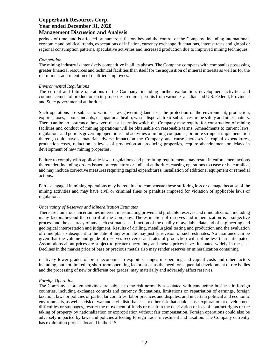periods of time, and is affected by numerous factors beyond the control of the Company, including international, economic and political trends, expectations of inflation, currency exchange fluctuations, interest rates and global or regional consumption patterns, speculative activities and increased production due to improved mining techniques.

#### *Competition*

The mining industry is intensively competitive in all its phases. The Company competes with companies possessing greater financial resources and technical facilities than itself for the acquisition of mineral interests as well as for the recruitment and retention of qualified employees.

#### *Environmental Regulations*

The current and future operations of the Company, including further exploration, development activities and commencement of production on its properties, requires permits from various Canadian and U.S. Federal, Provincial and State governmental authorities.

Such operations are subject to various laws governing land use, the protection of the environment, production, exports, taxes, labor standards, occupational health, waste disposal, toxic substances, mine safety and other matters. There can be no assurance, however, that all permits which the Company may require for construction of mining facilities and conduct of mining operations will be obtainable on reasonable terms. Amendments to current laws, regulations and permits governing operations and activities of mining companies, or more stringent implementation thereof, could have a material adverse impact on the Company and cause increases in capital expenditures, production costs, reduction in levels of production at producing properties, require abandonment or delays in development of new mining properties.

Failure to comply with applicable laws, regulations and permitting requirements may result in enforcement actions thereunder, including orders issued by regulatory or judicial authorities causing operations to cease or be curtailed, and may include corrective measures requiring capital expenditures, installation of additional equipment or remedial actions.

Parties engaged in mining operations may be required to compensate those suffering loss or damage because of the mining activities and may have civil or criminal fines or penalties imposed for violation of applicable laws or regulations.

#### *Uncertainty of Reserves and Mineralization Estimates*

There are numerous uncertainties inherent in estimating proven and probable reserves and mineralization, including many factors beyond the control of the Company. The estimation of reserves and mineralization is a subjective process and the accuracy of any such estimates is a function of the quality of available data and of engineering and geological interpretation and judgment. Results of drilling, metallurgical testing and production and the evaluation of mine plans subsequent to the date of any estimate may justify revision of such estimates. No assurance can be given that the volume and grade of reserves recovered and rates of production will not be less than anticipated. Assumptions about prices are subject to greater uncertainty and metals prices have fluctuated widely in the past. Declines in the market price of base or precious metals also may render reserves or mineralization containing

relatively lower grades of ore uneconomic to exploit. Changes in operating and capital costs and other factors including, but not limited to, short-term operating factors such as the need for sequential development of ore bodies and the processing of new or different ore grades, may materially and adversely affect reserves.

#### *Foreign Operations*

The Company's foreign activities are subject to the risk normally associated with conducting business in foreign countries, including exchange controls and currency fluctuations, limitations on repatriation of earnings, foreign taxation, laws or policies of particular countries, labor practices and disputes, and uncertain political and economic environments, as well as risk of war and civil disturbances, or other risk that could cause exploration or development difficulties or stoppages, restrict the movement of funds or result in the deprivation or loss of contract rights or the taking of property by nationalization or expropriation without fair compensation. Foreign operations could also be adversely impacted by laws and policies affecting foreign trade, investment and taxation. The Company currently has exploration projects located in the U.S.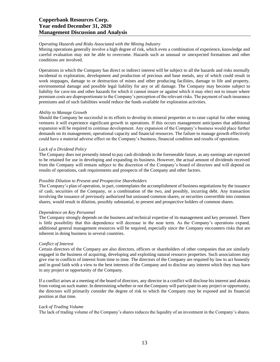#### *Operating Hazards and Risks Associated with the Mining Industry*

Mining operations generally involve a high degree of risk, which even a combination of experience, knowledge and careful evaluation may not be able to overcome. Hazards such as unusual or unexpected formations and other conditions are involved.

Operations in which the Company has direct or indirect interest will be subject to all the hazards and risks normally incidental to exploration, development and production of precious and base metals, any of which could result in work stoppages, damage to or destruction of mines and other producing facilities, damage to life and property, environmental damage and possible legal liability for any or all damage. The Company may become subject to liability for cave-ins and other hazards for which it cannot insure or against which it may elect not to insure where premium costs are disproportionate to the Company's perception of the relevant risks. The payment of such insurance premiums and of such liabilities would reduce the funds available for exploration activities.

#### *Ability to Manage Growth*

Should the Company be successful in its efforts to develop its mineral properties or to raise capital for other mining ventures it will experience significant growth in operations. If this occurs management anticipates that additional expansion will be required to continue development. Any expansion of the Company's business would place further demands on its management, operational capacity and financial resources. The failure to manage growth effectively could have a material adverse effect on the Company's business, financial condition and results of operations.

#### *Lack of a Dividend Policy*

The Company does not presently intend to pay cash dividends in the foreseeable future, as any earnings are expected to be retained for use in developing and expanding its business. However, the actual amount of dividends received from the Company will remain subject to the discretion of the Company's board of directors and will depend on results of operations, cash requirements and prospects of the Company and other factors.

#### *Possible Dilution to Present and Prospective Shareholders*

The Company's plan of operation, in part, contemplates the accomplishment of business negotiations by the issuance of cash, securities of the Company, or a combination of the two, and possibly, incurring debt. Any transaction involving the issuance of previously authorized but unissued common shares, or securities convertible into common shares, would result in dilution, possibly substantial, to present and prospective holders of common shares.

#### *Dependence on Key Personnel*

The Company strongly depends on the business and technical expertise of its management and key personnel. There is little possibility that this dependence will decrease in the near term. As the Company's operations expand, additional general management resources will be required, especially since the Company encounters risks that are inherent in doing business in several countries.

#### *Conflict of Interest*

Certain directors of the Company are also directors, officers or shareholders of other companies that are similarly engaged in the business of acquiring, developing and exploiting natural resource properties. Such associations may give rise to conflicts of interest from time to time. The directors of the Company are required by law to act honestly and in good faith with a view to the best interests of the Company and to disclose any interest which they may have in any project or opportunity of the Company.

If a conflict arises at a meeting of the board of directors, any director in a conflict will disclose his interest and abstain from voting on such matter. In determining whether or not the Company will participate in any project or opportunity, the directors will primarily consider the degree of risk to which the Company may be exposed and its financial position at that time.

#### *Lack of Trading Volume*

The lack of trading volume of the Company's shares reduces the liquidity of an investment in the Company's shares.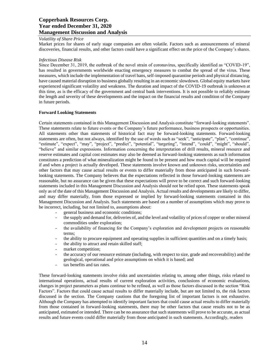#### *Volatility of Share Price*

Market prices for shares of early stage companies are often volatile. Factors such as announcements of mineral discoveries, financial results, and other factors could have a significant effect on the price of the Company's shares.

#### *Infectious Disease Risk*

Since December 31, 2019, the outbreak of the novel strain of coronavirus, specifically identified as "COVID-19", has resulted in governments worldwide enacting emergency measures to combat the spread of the virus. These measures, which include the implementation of travel bans, self-imposed quarantine periods and physical distancing, have caused material disruption to business globally resulting in an economic slowdown. Global equity markets have experienced significant volatility and weakness. The duration and impact of the COVID-19 outbreak is unknown at this time, as is the efficacy of the government and central bank interventions. It is not possible to reliably estimate the length and severity of these developments and the impact on the financial results and condition of the Company in future periods.

#### **Forward Looking Statements**

Certain statements contained in this Management Discussion and Analysis constitute "forward-looking statements". These statements relate to future events or the Company's future performance, business prospects or opportunities. All statements other than statements of historical fact may be forward-looking statements. Forward-looking statements are often, but not always, identified by the use of words such as "seek", "anticipate", "plan", "continue", "estimate", "expect", "may", "project", "predict", "potential", "targeting", "intend", "could", "might", "should", "believe" and similar expressions. Information concerning the interpretation of drill results, mineral resource and reserve estimates and capital cost estimates may also be deemed as forward-looking statements as such information constitutes a prediction of what mineralization might be found to be present and how much capital will be required if and when a project is actually developed. These statements involve known and unknown risks, uncertainties and other factors that may cause actual results or events to differ materially from those anticipated in such forwardlooking statements. The Company believes that the expectations reflected in those forward-looking statements are reasonable, but no assurance can be given that these expectations will prove to be correct and such forward-looking statements included in this Management Discussion and Analysis should not be relied upon. These statements speak only as of the date of this Management Discussion and Analysis. Actual results and developments are likely to differ, and may differ materially, from those expressed or implied by forward-looking statements contained in this Management Discussion and Analysis. Such statements are based on a number of assumptions which may prove to be incorrect, including, but not limited to, assumptions about:

- general business and economic conditions;
- the supply and demand for, deliveries of, and the level and volatility of prices of copper or other mineral commodities under exploration;
- the availability of financing for the Company's exploration and development projects on reasonable terms;
- the ability to procure equipment and operating supplies in sufficient quantities and on a timely basis;
- the ability to attract and retain skilled staff;
- market competition;
- the accuracy of our resource estimate (including, with respect to size, grade and recoverability) and the geological, operational and price assumptions on which it is based; and
- tax benefits and tax rates.

These forward-looking statements involve risks and uncertainties relating to, among other things, risks related to international operations, actual results of current exploration activities, conclusions of economic evaluations, changes in project parameters as plans continue to be refined, as well as those factors discussed in the section "Risk Factors". Factors that could cause actual results to differ materially include, but are not limited to, the risk factors discussed in the section. The Company cautions that the foregoing list of important factors is not exhaustive. Although the Company has attempted to identify important factors that could cause actual results to differ materially from those contained in forward-looking statements, there may be other factors that cause results not to be as anticipated, estimated or intended. There can be no assurance that such statements will prove to be accurate, as actual results and future events could differ materially from those anticipated in such statements. Accordingly, readers